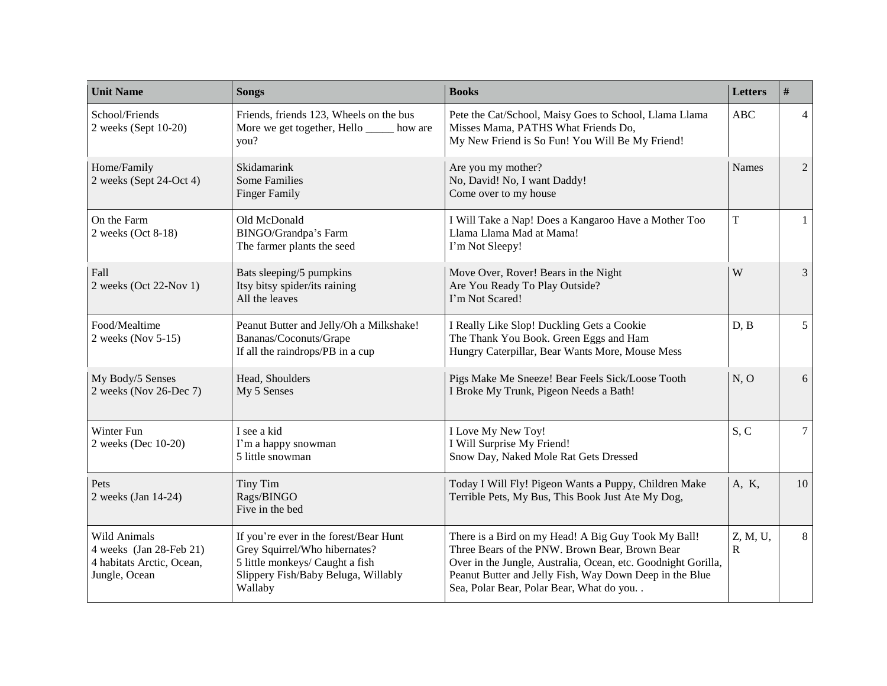| <b>Unit Name</b>                                                                      | <b>Songs</b>                                                                                                                                                 | <b>Books</b>                                                                                                                                                                                                                                                                  | <b>Letters</b> | $\#$            |
|---------------------------------------------------------------------------------------|--------------------------------------------------------------------------------------------------------------------------------------------------------------|-------------------------------------------------------------------------------------------------------------------------------------------------------------------------------------------------------------------------------------------------------------------------------|----------------|-----------------|
| School/Friends<br>2 weeks (Sept 10-20)                                                | Friends, friends 123, Wheels on the bus<br>More we get together, Hello _____ how are<br>you?                                                                 | Pete the Cat/School, Maisy Goes to School, Llama Llama<br>Misses Mama, PATHS What Friends Do,<br>My New Friend is So Fun! You Will Be My Friend!                                                                                                                              | ABC            | $\overline{4}$  |
| Home/Family<br>2 weeks (Sept 24-Oct 4)                                                | Skidamarink<br><b>Some Families</b><br><b>Finger Family</b>                                                                                                  | Are you my mother?<br>No, David! No, I want Daddy!<br>Come over to my house                                                                                                                                                                                                   | <b>Names</b>   | $\overline{2}$  |
| On the Farm<br>2 weeks (Oct 8-18)                                                     | Old McDonald<br>BINGO/Grandpa's Farm<br>The farmer plants the seed                                                                                           | I Will Take a Nap! Does a Kangaroo Have a Mother Too<br>Llama Llama Mad at Mama!<br>I'm Not Sleepy!                                                                                                                                                                           | T              | $\mathbf{1}$    |
| Fall<br>2 weeks (Oct 22-Nov 1)                                                        | Bats sleeping/5 pumpkins<br>Itsy bitsy spider/its raining<br>All the leaves                                                                                  | Move Over, Rover! Bears in the Night<br>Are You Ready To Play Outside?<br>I'm Not Scared!                                                                                                                                                                                     | W              | $\mathfrak{Z}$  |
| Food/Mealtime<br>2 weeks (Nov 5-15)                                                   | Peanut Butter and Jelly/Oh a Milkshake!<br>Bananas/Coconuts/Grape<br>If all the raindrops/PB in a cup                                                        | I Really Like Slop! Duckling Gets a Cookie<br>The Thank You Book. Green Eggs and Ham<br>Hungry Caterpillar, Bear Wants More, Mouse Mess                                                                                                                                       | D, B           | 5 <sup>5</sup>  |
| My Body/5 Senses<br>2 weeks (Nov 26-Dec 7)                                            | Head, Shoulders<br>My 5 Senses                                                                                                                               | Pigs Make Me Sneeze! Bear Feels Sick/Loose Tooth<br>I Broke My Trunk, Pigeon Needs a Bath!                                                                                                                                                                                    | N, O           | 6               |
| Winter Fun<br>2 weeks (Dec 10-20)                                                     | I see a kid<br>I'm a happy snowman<br>5 little snowman                                                                                                       | I Love My New Toy!<br>I Will Surprise My Friend!<br>Snow Day, Naked Mole Rat Gets Dressed                                                                                                                                                                                     | S, C           | $7\overline{ }$ |
| Pets<br>2 weeks (Jan 14-24)                                                           | Tiny Tim<br>Rags/BINGO<br>Five in the bed                                                                                                                    | Today I Will Fly! Pigeon Wants a Puppy, Children Make<br>Terrible Pets, My Bus, This Book Just Ate My Dog,                                                                                                                                                                    | A, K,          | 10              |
| Wild Animals<br>4 weeks (Jan 28-Feb 21)<br>4 habitats Arctic, Ocean,<br>Jungle, Ocean | If you're ever in the forest/Bear Hunt<br>Grey Squirrel/Who hibernates?<br>5 little monkeys/ Caught a fish<br>Slippery Fish/Baby Beluga, Willably<br>Wallaby | There is a Bird on my Head! A Big Guy Took My Ball!<br>Three Bears of the PNW. Brown Bear, Brown Bear<br>Over in the Jungle, Australia, Ocean, etc. Goodnight Gorilla,<br>Peanut Butter and Jelly Fish, Way Down Deep in the Blue<br>Sea, Polar Bear, Polar Bear, What do you | Z, M, U,<br>R  | 8               |